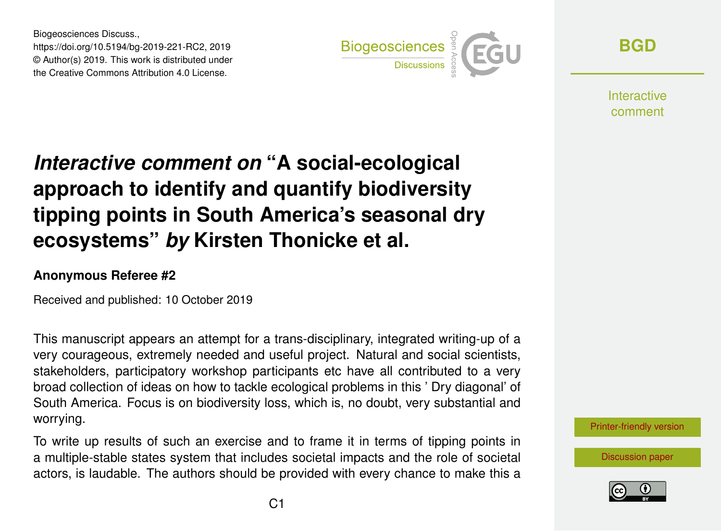Biogeosciences Discuss., https://doi.org/10.5194/bg-2019-221-RC2, 2019 © Author(s) 2019. This work is distributed under the Creative Commons Attribution 4.0 License.



**[BGD](https://www.biogeosciences-discuss.net/)**

**Interactive** comment

## *Interactive comment on* **"A social-ecological approach to identify and quantify biodiversity tipping points in South America's seasonal dry ecosystems"** *by* **Kirsten Thonicke et al.**

## **Anonymous Referee #2**

Received and published: 10 October 2019

This manuscript appears an attempt for a trans-disciplinary, integrated writing-up of a very courageous, extremely needed and useful project. Natural and social scientists, stakeholders, participatory workshop participants etc have all contributed to a very broad collection of ideas on how to tackle ecological problems in this ' Dry diagonal' of South America. Focus is on biodiversity loss, which is, no doubt, very substantial and worrying.

To write up results of such an exercise and to frame it in terms of tipping points in a multiple-stable states system that includes societal impacts and the role of societal actors, is laudable. The authors should be provided with every chance to make this a



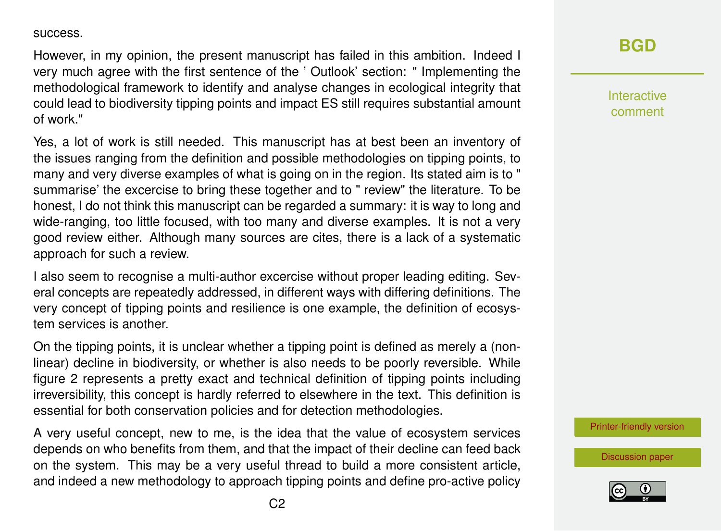success.

However, in my opinion, the present manuscript has failed in this ambition. Indeed I very much agree with the first sentence of the ' Outlook' section: " Implementing the methodological framework to identify and analyse changes in ecological integrity that could lead to biodiversity tipping points and impact ES still requires substantial amount of work."

Yes, a lot of work is still needed. This manuscript has at best been an inventory of the issues ranging from the definition and possible methodologies on tipping points, to many and very diverse examples of what is going on in the region. Its stated aim is to " summarise' the excercise to bring these together and to " review" the literature. To be honest, I do not think this manuscript can be regarded a summary: it is way to long and wide-ranging, too little focused, with too many and diverse examples. It is not a very good review either. Although many sources are cites, there is a lack of a systematic approach for such a review.

I also seem to recognise a multi-author excercise without proper leading editing. Several concepts are repeatedly addressed, in different ways with differing definitions. The very concept of tipping points and resilience is one example, the definition of ecosystem services is another.

On the tipping points, it is unclear whether a tipping point is defined as merely a (nonlinear) decline in biodiversity, or whether is also needs to be poorly reversible. While figure 2 represents a pretty exact and technical definition of tipping points including irreversibility, this concept is hardly referred to elsewhere in the text. This definition is essential for both conservation policies and for detection methodologies.

A very useful concept, new to me, is the idea that the value of ecosystem services depends on who benefits from them, and that the impact of their decline can feed back on the system. This may be a very useful thread to build a more consistent article, and indeed a new methodology to approach tipping points and define pro-active policy

## **[BGD](https://www.biogeosciences-discuss.net/)**

Interactive comment

[Printer-friendly version](https://www.biogeosciences-discuss.net/bg-2019-221/bg-2019-221-RC2-print.pdf)

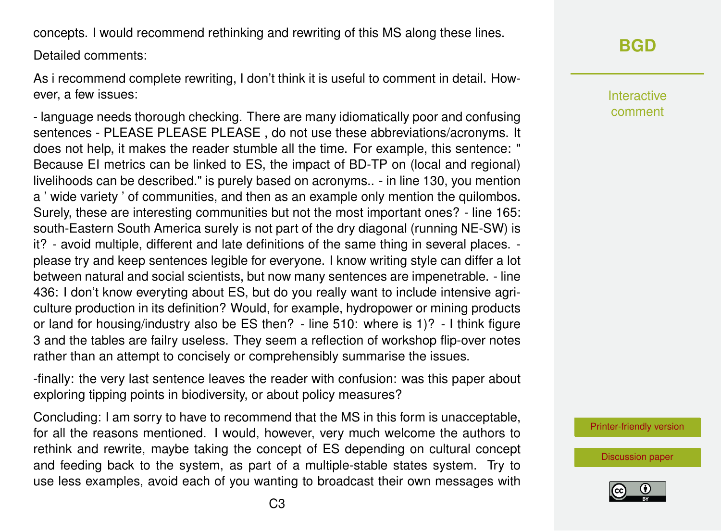concepts. I would recommend rethinking and rewriting of this MS along these lines.

Detailed comments:

As i recommend complete rewriting, I don't think it is useful to comment in detail. However, a few issues:

- language needs thorough checking. There are many idiomatically poor and confusing sentences - PLEASE PLEASE PLEASE , do not use these abbreviations/acronyms. It does not help, it makes the reader stumble all the time. For example, this sentence: " Because EI metrics can be linked to ES, the impact of BD-TP on (local and regional) livelihoods can be described." is purely based on acronyms.. - in line 130, you mention a ' wide variety ' of communities, and then as an example only mention the quilombos. Surely, these are interesting communities but not the most important ones? - line 165: south-Eastern South America surely is not part of the dry diagonal (running NE-SW) is it? - avoid multiple, different and late definitions of the same thing in several places. please try and keep sentences legible for everyone. I know writing style can differ a lot between natural and social scientists, but now many sentences are impenetrable. - line 436: I don't know everyting about ES, but do you really want to include intensive agriculture production in its definition? Would, for example, hydropower or mining products or land for housing/industry also be ES then? - line 510: where is 1)? - I think figure 3 and the tables are failry useless. They seem a reflection of workshop flip-over notes rather than an attempt to concisely or comprehensibly summarise the issues.

-finally: the very last sentence leaves the reader with confusion: was this paper about exploring tipping points in biodiversity, or about policy measures?

Concluding: I am sorry to have to recommend that the MS in this form is unacceptable, for all the reasons mentioned. I would, however, very much welcome the authors to rethink and rewrite, maybe taking the concept of ES depending on cultural concept and feeding back to the system, as part of a multiple-stable states system. Try to use less examples, avoid each of you wanting to broadcast their own messages with

## **[BGD](https://www.biogeosciences-discuss.net/)**

Interactive comment

[Printer-friendly version](https://www.biogeosciences-discuss.net/bg-2019-221/bg-2019-221-RC2-print.pdf)